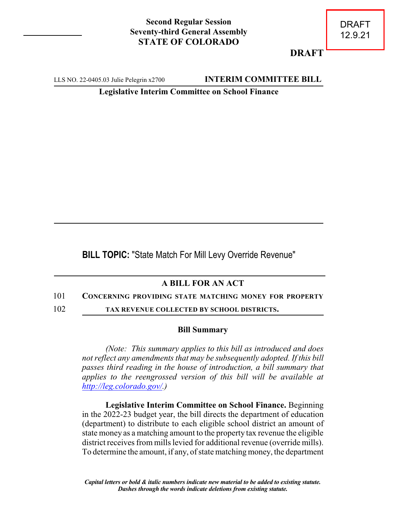## **Second Regular Session Seventy-third General Assembly STATE OF COLORADO**

**DRAFT**

LLS NO. 22-0405.03 Julie Pelegrin x2700 **INTERIM COMMITTEE BILL** 

**Legislative Interim Committee on School Finance**

**BILL TOPIC:** "State Match For Mill Levy Override Revenue"

## **A BILL FOR AN ACT**

## 101 **CONCERNING PROVIDING STATE MATCHING MONEY FOR PROPERTY**

102 **TAX REVENUE COLLECTED BY SCHOOL DISTRICTS.**

## **Bill Summary**

*(Note: This summary applies to this bill as introduced and does not reflect any amendments that may be subsequently adopted. If this bill passes third reading in the house of introduction, a bill summary that applies to the reengrossed version of this bill will be available at <http://leg.colorado.gov/>.)*

**Legislative Interim Committee on School Finance.** Beginning in the 2022-23 budget year, the bill directs the department of education (department) to distribute to each eligible school district an amount of state money as a matching amount to the property tax revenue the eligible district receives from mills levied for additional revenue (override mills). To determine the amount, if any, of state matching money, the department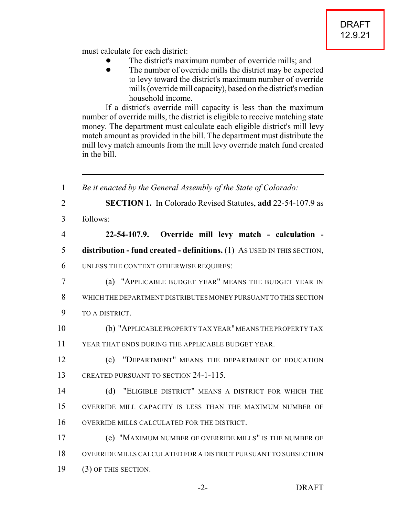must calculate for each district:

- The district's maximum number of override mills; and
- The number of override mills the district may be expected to levy toward the district's maximum number of override mills (override mill capacity), based on the district's median household income.

If a district's override mill capacity is less than the maximum number of override mills, the district is eligible to receive matching state money. The department must calculate each eligible district's mill levy match amount as provided in the bill. The department must distribute the mill levy match amounts from the mill levy override match fund created in the bill.

| $\mathbf{1}$   | Be it enacted by the General Assembly of the State of Colorado:         |
|----------------|-------------------------------------------------------------------------|
| $\overline{2}$ | <b>SECTION 1.</b> In Colorado Revised Statutes, add 22-54-107.9 as      |
| 3              | follows:                                                                |
| $\overline{4}$ | 22-54-107.9. Override mill levy match - calculation -                   |
| 5              | distribution - fund created - definitions. (1) As USED IN THIS SECTION, |
| 6              | UNLESS THE CONTEXT OTHERWISE REQUIRES:                                  |
| 7              | (a) "APPLICABLE BUDGET YEAR" MEANS THE BUDGET YEAR IN                   |
| 8              | WHICH THE DEPARTMENT DISTRIBUTES MONEY PURSUANT TO THIS SECTION         |
| 9              | TO A DISTRICT.                                                          |
| 10             | (b) "APPLICABLE PROPERTY TAX YEAR" MEANS THE PROPERTY TAX               |
| 11             | YEAR THAT ENDS DURING THE APPLICABLE BUDGET YEAR.                       |
| 12             | (c) "DEPARTMENT" MEANS THE DEPARTMENT OF EDUCATION                      |
| 13             | CREATED PURSUANT TO SECTION 24-1-115.                                   |
| 14             | (d) "ELIGIBLE DISTRICT" MEANS A DISTRICT FOR WHICH THE                  |
| 15             | OVERRIDE MILL CAPACITY IS LESS THAN THE MAXIMUM NUMBER OF               |
| 16             | OVERRIDE MILLS CALCULATED FOR THE DISTRICT.                             |
| 17             | (e) "MAXIMUM NUMBER OF OVERRIDE MILLS" IS THE NUMBER OF                 |
| 18             | OVERRIDE MILLS CALCULATED FOR A DISTRICT PURSUANT TO SUBSECTION         |
| 19             | (3) OF THIS SECTION.                                                    |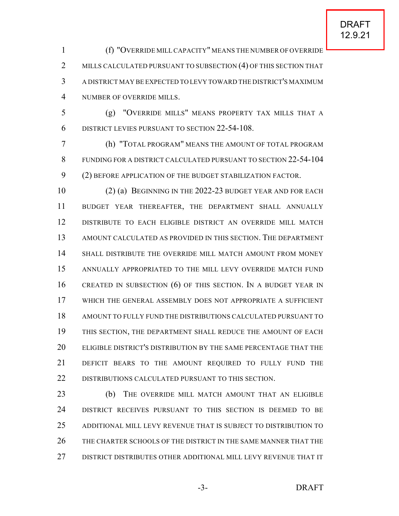(f) "OVERRIDE MILL CAPACITY" MEANS THE NUMBER OF OVERRIDE 2 MILLS CALCULATED PURSUANT TO SUBSECTION (4) OF THIS SECTION THAT A DISTRICT MAY BE EXPECTED TO LEVY TOWARD THE DISTRICT'S MAXIMUM NUMBER OF OVERRIDE MILLS.

 (g) "OVERRIDE MILLS" MEANS PROPERTY TAX MILLS THAT A DISTRICT LEVIES PURSUANT TO SECTION 22-54-108.

 (h) "TOTAL PROGRAM" MEANS THE AMOUNT OF TOTAL PROGRAM FUNDING FOR A DISTRICT CALCULATED PURSUANT TO SECTION 22-54-104 (2) BEFORE APPLICATION OF THE BUDGET STABILIZATION FACTOR.

 (2) (a) BEGINNING IN THE 2022-23 BUDGET YEAR AND FOR EACH BUDGET YEAR THEREAFTER, THE DEPARTMENT SHALL ANNUALLY DISTRIBUTE TO EACH ELIGIBLE DISTRICT AN OVERRIDE MILL MATCH AMOUNT CALCULATED AS PROVIDED IN THIS SECTION. THE DEPARTMENT SHALL DISTRIBUTE THE OVERRIDE MILL MATCH AMOUNT FROM MONEY ANNUALLY APPROPRIATED TO THE MILL LEVY OVERRIDE MATCH FUND CREATED IN SUBSECTION (6) OF THIS SECTION. IN A BUDGET YEAR IN WHICH THE GENERAL ASSEMBLY DOES NOT APPROPRIATE A SUFFICIENT AMOUNT TO FULLY FUND THE DISTRIBUTIONS CALCULATED PURSUANT TO THIS SECTION, THE DEPARTMENT SHALL REDUCE THE AMOUNT OF EACH ELIGIBLE DISTRICT'S DISTRIBUTION BY THE SAME PERCENTAGE THAT THE DEFICIT BEARS TO THE AMOUNT REQUIRED TO FULLY FUND THE 22 DISTRIBUTIONS CALCULATED PURSUANT TO THIS SECTION.

23 (b) THE OVERRIDE MILL MATCH AMOUNT THAT AN ELIGIBLE DISTRICT RECEIVES PURSUANT TO THIS SECTION IS DEEMED TO BE ADDITIONAL MILL LEVY REVENUE THAT IS SUBJECT TO DISTRIBUTION TO THE CHARTER SCHOOLS OF THE DISTRICT IN THE SAME MANNER THAT THE DISTRICT DISTRIBUTES OTHER ADDITIONAL MILL LEVY REVENUE THAT IT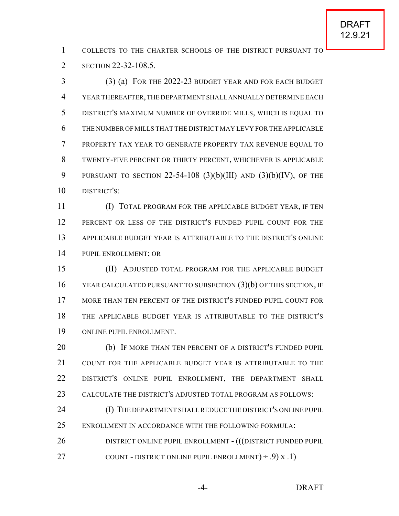COLLECTS TO THE CHARTER SCHOOLS OF THE DISTRICT PURSUANT TO 2 SECTION 22-32-108.5.

 (3) (a) FOR THE 2022-23 BUDGET YEAR AND FOR EACH BUDGET YEAR THEREAFTER,THE DEPARTMENT SHALL ANNUALLY DETERMINE EACH DISTRICT'S MAXIMUM NUMBER OF OVERRIDE MILLS, WHICH IS EQUAL TO THE NUMBER OF MILLS THAT THE DISTRICT MAY LEVY FOR THE APPLICABLE PROPERTY TAX YEAR TO GENERATE PROPERTY TAX REVENUE EQUAL TO TWENTY-FIVE PERCENT OR THIRTY PERCENT, WHICHEVER IS APPLICABLE 9 PURSUANT TO SECTION 22-54-108  $(3)(b)(III)$  AND  $(3)(b)(IV)$ , OF THE DISTRICT'S:

 (I) TOTAL PROGRAM FOR THE APPLICABLE BUDGET YEAR, IF TEN PERCENT OR LESS OF THE DISTRICT'S FUNDED PUPIL COUNT FOR THE APPLICABLE BUDGET YEAR IS ATTRIBUTABLE TO THE DISTRICT'S ONLINE PUPIL ENROLLMENT; OR

 (II) ADJUSTED TOTAL PROGRAM FOR THE APPLICABLE BUDGET YEAR CALCULATED PURSUANT TO SUBSECTION (3)(b) OF THIS SECTION, IF MORE THAN TEN PERCENT OF THE DISTRICT'S FUNDED PUPIL COUNT FOR THE APPLICABLE BUDGET YEAR IS ATTRIBUTABLE TO THE DISTRICT'S ONLINE PUPIL ENROLLMENT.

 (b) IF MORE THAN TEN PERCENT OF A DISTRICT'S FUNDED PUPIL COUNT FOR THE APPLICABLE BUDGET YEAR IS ATTRIBUTABLE TO THE DISTRICT'S ONLINE PUPIL ENROLLMENT, THE DEPARTMENT SHALL CALCULATE THE DISTRICT'S ADJUSTED TOTAL PROGRAM AS FOLLOWS:

24 (I) THE DEPARTMENT SHALL REDUCE THE DISTRICT'S ONLINE PUPIL ENROLLMENT IN ACCORDANCE WITH THE FOLLOWING FORMULA: 26 DISTRICT ONLINE PUPIL ENROLLMENT - (((DISTRICT FUNDED PUPIL

27 COUNT - DISTRICT ONLINE PUPIL ENROLLMENT $) \div .9$   $X .1$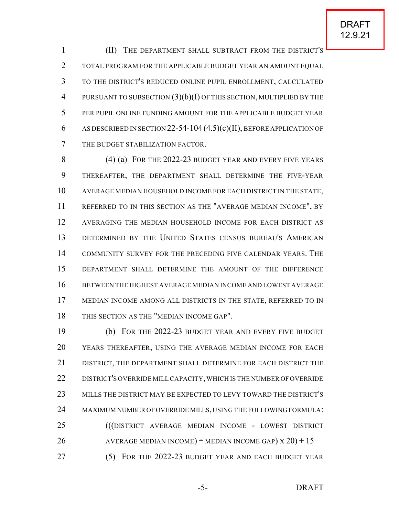(II) THE DEPARTMENT SHALL SUBTRACT FROM THE DISTRICT'S TOTAL PROGRAM FOR THE APPLICABLE BUDGET YEAR AN AMOUNT EQUAL TO THE DISTRICT'S REDUCED ONLINE PUPIL ENROLLMENT, CALCULATED 4 PURSUANT TO SUBSECTION  $(3)(b)(I)$  OF THIS SECTION, MULTIPLIED BY THE PER PUPIL ONLINE FUNDING AMOUNT FOR THE APPLICABLE BUDGET YEAR AS DESCRIBED IN SECTION 22-54-104 (4.5)(c)(II), BEFORE APPLICATION OF THE BUDGET STABILIZATION FACTOR.

 (4) (a) FOR THE 2022-23 BUDGET YEAR AND EVERY FIVE YEARS THEREAFTER, THE DEPARTMENT SHALL DETERMINE THE FIVE-YEAR AVERAGE MEDIAN HOUSEHOLD INCOME FOR EACH DISTRICT IN THE STATE, REFERRED TO IN THIS SECTION AS THE "AVERAGE MEDIAN INCOME", BY AVERAGING THE MEDIAN HOUSEHOLD INCOME FOR EACH DISTRICT AS DETERMINED BY THE UNITED STATES CENSUS BUREAU'S AMERICAN COMMUNITY SURVEY FOR THE PRECEDING FIVE CALENDAR YEARS. THE DEPARTMENT SHALL DETERMINE THE AMOUNT OF THE DIFFERENCE BETWEEN THE HIGHEST AVERAGE MEDIAN INCOME AND LOWEST AVERAGE MEDIAN INCOME AMONG ALL DISTRICTS IN THE STATE, REFERRED TO IN THIS SECTION AS THE "MEDIAN INCOME GAP".

 (b) FOR THE 2022-23 BUDGET YEAR AND EVERY FIVE BUDGET YEARS THEREAFTER, USING THE AVERAGE MEDIAN INCOME FOR EACH DISTRICT, THE DEPARTMENT SHALL DETERMINE FOR EACH DISTRICT THE 22 DISTRICT'S OVERRIDE MILL CAPACITY, WHICH IS THE NUMBER OF OVERRIDE MILLS THE DISTRICT MAY BE EXPECTED TO LEVY TOWARD THE DISTRICT'S MAXIMUM NUMBER OF OVERRIDE MILLS, USING THE FOLLOWING FORMULA: (((DISTRICT AVERAGE MEDIAN INCOME - LOWEST DISTRICT 26 AVERAGE MEDIAN INCOME)  $\div$  MEDIAN INCOME GAP)  $\times$  20) + 15 (5) FOR THE 2022-23 BUDGET YEAR AND EACH BUDGET YEAR